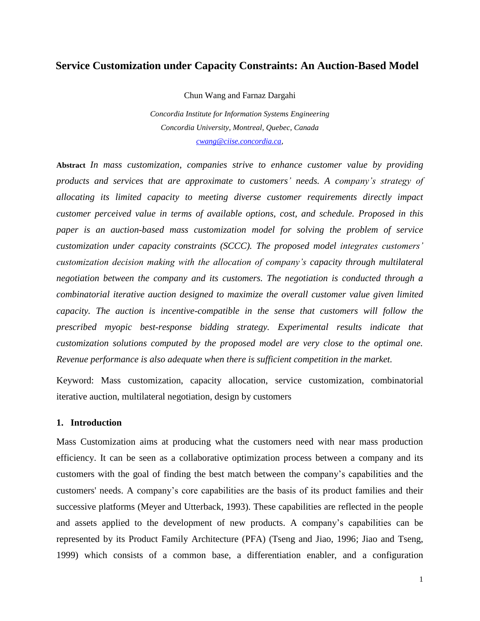# **Service Customization under Capacity Constraints: An Auction-Based Model**

Chun Wang and Farnaz Dargahi

*Concordia Institute for Information Systems Engineering Concordia University, Montreal, Quebec, Canada [cwang@ciise.concordia.ca,](mailto:cwang@ciise.concordia.ca)* 

**Abstract** *In mass customization, companies strive to enhance customer value by providing products and services that are approximate to customers' needs. A company's strategy of allocating its limited capacity to meeting diverse customer requirements directly impact customer perceived value in terms of available options, cost, and schedule. Proposed in this paper is an auction-based mass customization model for solving the problem of service customization under capacity constraints (SCCC). The proposed model integrates customers' customization decision making with the allocation of company's capacity through multilateral negotiation between the company and its customers. The negotiation is conducted through a combinatorial iterative auction designed to maximize the overall customer value given limited capacity. The auction is incentive-compatible in the sense that customers will follow the prescribed myopic best-response bidding strategy. Experimental results indicate that customization solutions computed by the proposed model are very close to the optimal one. Revenue performance is also adequate when there is sufficient competition in the market.* 

Keyword: Mass customization, capacity allocation, service customization, combinatorial iterative auction, multilateral negotiation, design by customers

# **1. Introduction**

Mass Customization aims at producing what the customers need with near mass production efficiency. It can be seen as a collaborative optimization process between a company and its customers with the goal of finding the best match between the company's capabilities and the customers' needs. A company's core capabilities are the basis of its product families and their successive platforms (Meyer and Utterback, 1993). These capabilities are reflected in the people and assets applied to the development of new products. A company's capabilities can be represented by its Product Family Architecture (PFA) (Tseng and Jiao, 1996; Jiao and Tseng, 1999) which consists of a common base, a differentiation enabler, and a configuration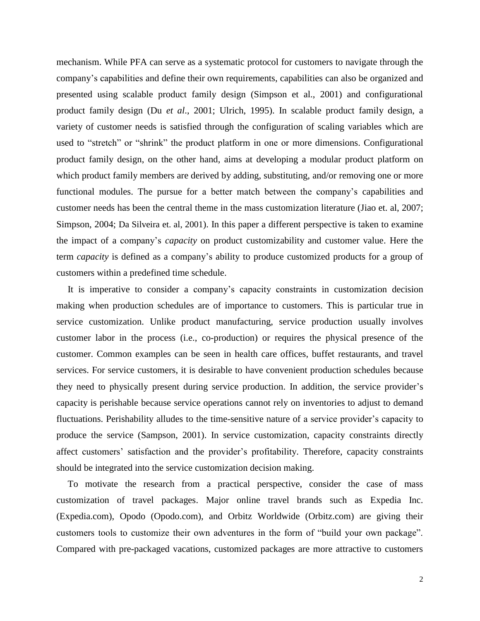mechanism. While PFA can serve as a systematic protocol for customers to navigate through the company's capabilities and define their own requirements, capabilities can also be organized and presented using scalable product family design (Simpson et al., 2001) and configurational product family design (Du *et al*., 2001; Ulrich, 1995). In scalable product family design, a variety of customer needs is satisfied through the configuration of scaling variables which are used to "stretch" or "shrink" the product platform in one or more dimensions. Configurational product family design, on the other hand, aims at developing a modular product platform on which product family members are derived by adding, substituting, and/or removing one or more functional modules. The pursue for a better match between the company's capabilities and customer needs has been the central theme in the mass customization literature (Jiao et. al, 2007; Simpson, 2004; Da Silveira et. al, 2001). In this paper a different perspective is taken to examine the impact of a company's *capacity* on product customizability and customer value. Here the term *capacity* is defined as a company's ability to produce customized products for a group of customers within a predefined time schedule.

It is imperative to consider a company's capacity constraints in customization decision making when production schedules are of importance to customers. This is particular true in service customization. Unlike product manufacturing, service production usually involves customer labor in the process (i.e., co-production) or requires the physical presence of the customer. Common examples can be seen in health care offices, buffet restaurants, and travel services. For service customers, it is desirable to have convenient production schedules because they need to physically present during service production. In addition, the service provider's capacity is perishable because service operations cannot rely on inventories to adjust to demand fluctuations. Perishability alludes to the time-sensitive nature of a service provider's capacity to produce the service (Sampson, 2001). In service customization, capacity constraints directly affect customers' satisfaction and the provider's profitability. Therefore, capacity constraints should be integrated into the service customization decision making.

To motivate the research from a practical perspective, consider the case of mass customization of travel packages. Major online travel brands such as Expedia Inc. (Expedia.com), Opodo (Opodo.com), and Orbitz Worldwide (Orbitz.com) are giving their customers tools to customize their own adventures in the form of "build your own package". Compared with pre-packaged vacations, customized packages are more attractive to customers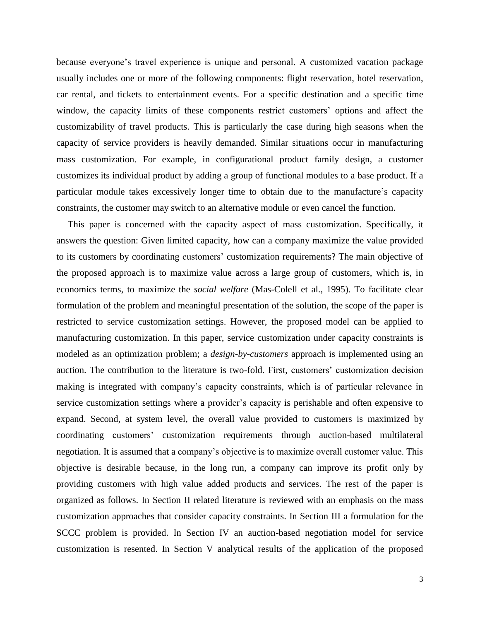because everyone's travel experience is unique and personal. A customized vacation package usually includes one or more of the following components: flight reservation, hotel reservation, car rental, and tickets to entertainment events. For a specific destination and a specific time window, the capacity limits of these components restrict customers' options and affect the customizability of travel products. This is particularly the case during high seasons when the capacity of service providers is heavily demanded. Similar situations occur in manufacturing mass customization. For example, in configurational product family design, a customer customizes its individual product by adding a group of functional modules to a base product. If a particular module takes excessively longer time to obtain due to the manufacture's capacity constraints, the customer may switch to an alternative module or even cancel the function.

This paper is concerned with the capacity aspect of mass customization. Specifically, it answers the question: Given limited capacity, how can a company maximize the value provided to its customers by coordinating customers' customization requirements? The main objective of the proposed approach is to maximize value across a large group of customers, which is, in economics terms, to maximize the *social welfare* (Mas-Colell et al., 1995). To facilitate clear formulation of the problem and meaningful presentation of the solution, the scope of the paper is restricted to service customization settings. However, the proposed model can be applied to manufacturing customization. In this paper, service customization under capacity constraints is modeled as an optimization problem; a *design-by-customers* approach is implemented using an auction. The contribution to the literature is two-fold. First, customers' customization decision making is integrated with company's capacity constraints, which is of particular relevance in service customization settings where a provider's capacity is perishable and often expensive to expand. Second, at system level, the overall value provided to customers is maximized by coordinating customers' customization requirements through auction-based multilateral negotiation. It is assumed that a company's objective is to maximize overall customer value. This objective is desirable because, in the long run, a company can improve its profit only by providing customers with high value added products and services. The rest of the paper is organized as follows. In Section II related literature is reviewed with an emphasis on the mass customization approaches that consider capacity constraints. In Section III a formulation for the SCCC problem is provided. In Section IV an auction-based negotiation model for service customization is resented. In Section V analytical results of the application of the proposed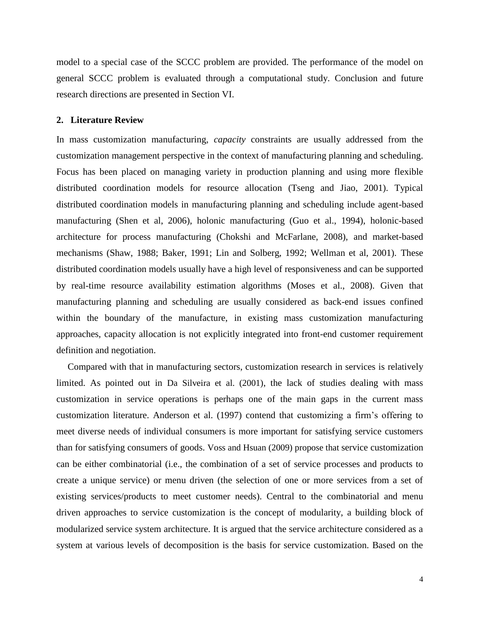model to a special case of the SCCC problem are provided. The performance of the model on general SCCC problem is evaluated through a computational study. Conclusion and future research directions are presented in Section VI.

#### **2. Literature Review**

In mass customization manufacturing, *capacity* constraints are usually addressed from the customization management perspective in the context of manufacturing planning and scheduling. Focus has been placed on managing variety in production planning and using more flexible distributed coordination models for resource allocation (Tseng and Jiao, 2001). Typical distributed coordination models in manufacturing planning and scheduling include agent-based manufacturing (Shen et al, 2006), holonic manufacturing (Guo et al., 1994), holonic-based architecture for process manufacturing (Chokshi and McFarlane, 2008), and market-based mechanisms (Shaw, 1988; Baker, 1991; Lin and Solberg, 1992; Wellman et al, 2001). These distributed coordination models usually have a high level of responsiveness and can be supported by real-time resource availability estimation algorithms (Moses et al., 2008). Given that manufacturing planning and scheduling are usually considered as back-end issues confined within the boundary of the manufacture, in existing mass customization manufacturing approaches, capacity allocation is not explicitly integrated into front-end customer requirement definition and negotiation.

Compared with that in manufacturing sectors, customization research in services is relatively limited. As pointed out in Da Silveira et al. (2001), the lack of studies dealing with mass customization in service operations is perhaps one of the main gaps in the current mass customization literature. Anderson et al. (1997) contend that customizing a firm's offering to meet diverse needs of individual consumers is more important for satisfying service customers than for satisfying consumers of goods. Voss and Hsuan (2009) propose that service customization can be either combinatorial (i.e., the combination of a set of service processes and products to create a unique service) or menu driven (the selection of one or more services from a set of existing services/products to meet customer needs). Central to the combinatorial and menu driven approaches to service customization is the concept of modularity, a building block of modularized service system architecture. It is argued that the service architecture considered as a system at various levels of decomposition is the basis for service customization. Based on the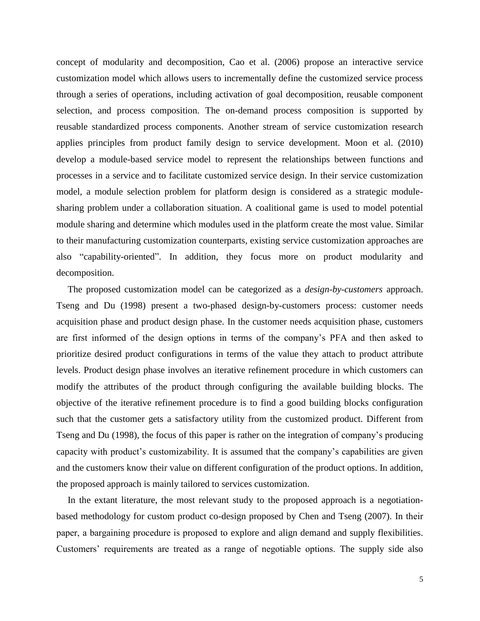concept of modularity and decomposition, Cao et al. (2006) propose an interactive service customization model which allows users to incrementally define the customized service process through a series of operations, including activation of goal decomposition, reusable component selection, and process composition. The on-demand process composition is supported by reusable standardized process components. Another stream of service customization research applies principles from product family design to service development. Moon et al. (2010) develop a module-based service model to represent the relationships between functions and processes in a service and to facilitate customized service design. In their service customization model, a module selection problem for platform design is considered as a strategic modulesharing problem under a collaboration situation. A coalitional game is used to model potential module sharing and determine which modules used in the platform create the most value. Similar to their manufacturing customization counterparts, existing service customization approaches are also "capability-oriented". In addition, they focus more on product modularity and decomposition.

The proposed customization model can be categorized as a *design-by-customers* approach. Tseng and Du (1998) present a two-phased design-by-customers process: customer needs acquisition phase and product design phase. In the customer needs acquisition phase, customers are first informed of the design options in terms of the company's PFA and then asked to prioritize desired product configurations in terms of the value they attach to product attribute levels. Product design phase involves an iterative refinement procedure in which customers can modify the attributes of the product through configuring the available building blocks. The objective of the iterative refinement procedure is to find a good building blocks configuration such that the customer gets a satisfactory utility from the customized product. Different from Tseng and Du (1998), the focus of this paper is rather on the integration of company's producing capacity with product's customizability. It is assumed that the company's capabilities are given and the customers know their value on different configuration of the product options. In addition, the proposed approach is mainly tailored to services customization.

In the extant literature, the most relevant study to the proposed approach is a negotiationbased methodology for custom product co-design proposed by Chen and Tseng (2007). In their paper, a bargaining procedure is proposed to explore and align demand and supply flexibilities. Customers' requirements are treated as a range of negotiable options. The supply side also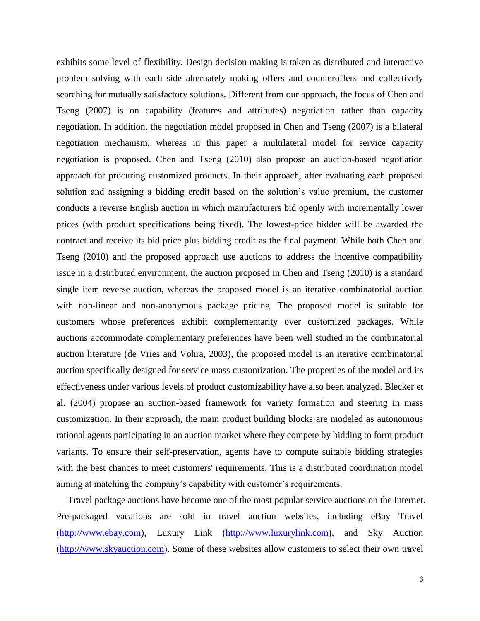exhibits some level of flexibility. Design decision making is taken as distributed and interactive problem solving with each side alternately making offers and counteroffers and collectively searching for mutually satisfactory solutions. Different from our approach, the focus of Chen and Tseng (2007) is on capability (features and attributes) negotiation rather than capacity negotiation. In addition, the negotiation model proposed in Chen and Tseng (2007) is a bilateral negotiation mechanism, whereas in this paper a multilateral model for service capacity negotiation is proposed. Chen and Tseng (2010) also propose an auction-based negotiation approach for procuring customized products. In their approach, after evaluating each proposed solution and assigning a bidding credit based on the solution's value premium, the customer conducts a reverse English auction in which manufacturers bid openly with incrementally lower prices (with product specifications being fixed). The lowest-price bidder will be awarded the contract and receive its bid price plus bidding credit as the final payment. While both Chen and Tseng (2010) and the proposed approach use auctions to address the incentive compatibility issue in a distributed environment, the auction proposed in Chen and Tseng (2010) is a standard single item reverse auction, whereas the proposed model is an iterative combinatorial auction with non-linear and non-anonymous package pricing. The proposed model is suitable for customers whose preferences exhibit complementarity over customized packages. While auctions accommodate complementary preferences have been well studied in the combinatorial auction literature (de Vries and Vohra, 2003), the proposed model is an iterative combinatorial auction specifically designed for service mass customization. The properties of the model and its effectiveness under various levels of product customizability have also been analyzed. Blecker et al. (2004) propose an auction-based framework for variety formation and steering in mass customization. In their approach, the main product building blocks are modeled as autonomous rational agents participating in an auction market where they compete by bidding to form product variants. To ensure their self-preservation, agents have to compute suitable bidding strategies with the best chances to meet customers' requirements. This is a distributed coordination model aiming at matching the company's capability with customer's requirements.

Travel package auctions have become one of the most popular service auctions on the Internet. Pre-packaged vacations are sold in travel auction websites, including eBay Travel [\(http://www.ebay.com\)](http://www.ebay.com/), Luxury Link [\(http://www.luxurylink.com\)](http://www.luxurylink.com/), and Sky Auction [\(http://www.skyauction.com\)](http://www.skyauction.com/). Some of these websites allow customers to select their own travel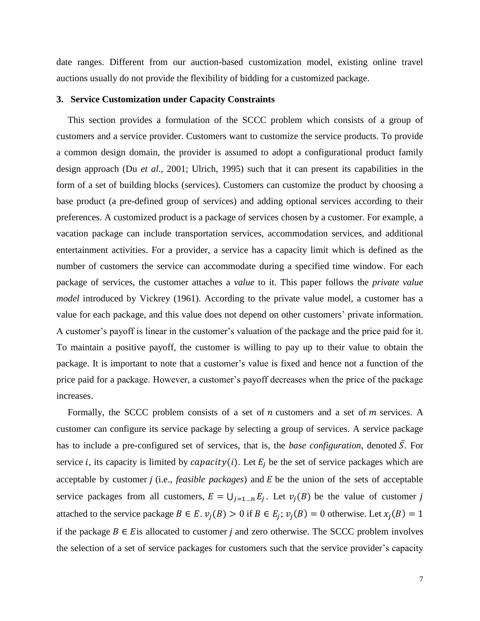date ranges. Different from our auction-based customization model, existing online travel auctions usually do not provide the flexibility of bidding for a customized package.

## **3. Service Customization under Capacity Constraints**

This section provides a formulation of the SCCC problem which consists of a group of customers and a service provider. Customers want to customize the service products. To provide a common design domain, the provider is assumed to adopt a configurational product family design approach (Du *et al*., 2001; Ulrich, 1995) such that it can present its capabilities in the form of a set of building blocks (services). Customers can customize the product by choosing a base product (a pre-defined group of services) and adding optional services according to their preferences. A customized product is a package of services chosen by a customer. For example, a vacation package can include transportation services, accommodation services, and additional entertainment activities. For a provider, a service has a capacity limit which is defined as the number of customers the service can accommodate during a specified time window. For each package of services, the customer attaches a *value* to it. This paper follows the *private value model* introduced by Vickrey (1961). According to the private value model, a customer has a value for each package, and this value does not depend on other customers' private information. A customer's payoff is linear in the customer's valuation of the package and the price paid for it. To maintain a positive payoff, the customer is willing to pay up to their value to obtain the package. It is important to note that a customer's value is fixed and hence not a function of the price paid for a package. However, a customer's payoff decreases when the price of the package increases.

Formally, the SCCC problem consists of a set of  $n$  customers and a set of  $m$  services. A customer can configure its service package by selecting a group of services. A service package has to include a pre-configured set of services, that is, the *base configuration*, denoted  $\overline{S}$ . For service *i*, its capacity is limited by *capacity*(*i*). Let  $E_i$  be the set of service packages which are acceptable by customer  $j$  (i.e., *feasible packages*) and  $E$  be the union of the sets of acceptable service packages from all customers,  $E = \bigcup_{j=1...n} E_j$ . Let  $v_j(B)$  be the value of customer attached to the service package  $B \in E$ .  $v_i(B) > 0$  if  $B \in E_i$ ;  $v_i(B) = 0$  otherwise. Let  $x_i$ if the package  $B \in E$  is allocated to customer *j* and zero otherwise. The SCCC problem involves the selection of a set of service packages for customers such that the service provider's capacity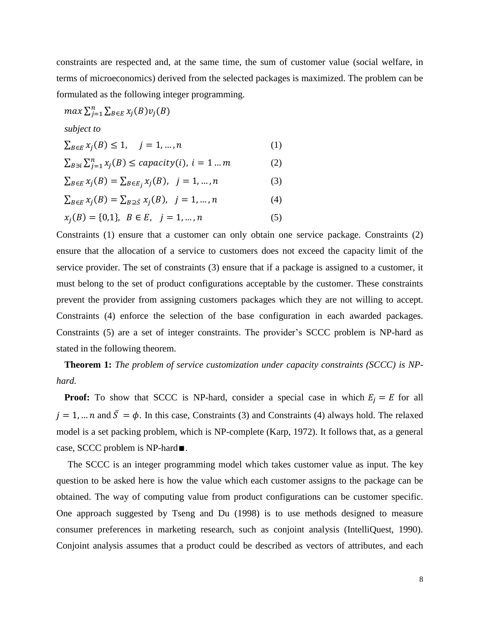constraints are respected and, at the same time, the sum of customer value (social welfare, in terms of microeconomics) derived from the selected packages is maximized. The problem can be formulated as the following integer programming.

$$
\max \sum_{j=1}^{n} \sum_{B \in E} x_j(B) v_j(B)
$$
\n
$$
\text{subject to}
$$
\n
$$
\sum_{B \in E} x_j(B) \le 1, \quad j = 1, \dots, n \tag{1}
$$
\n
$$
\sum_{B \ni} \sum_{j=1}^{n} x_j(B) \le \text{capacity}(i), \quad i = 1 \dots m \tag{2}
$$
\n
$$
\sum_{B \in E} x_j(B) = \sum_{B \in E_j} x_j(B), \quad j = 1, \dots, n \tag{3}
$$
\n
$$
\sum_{B \in E} x_j(B) = \sum_{B \supseteq S} x_j(B), \quad j = 1, \dots, n \tag{4}
$$
\n
$$
x_j(B) = \{0,1\}, \quad B \in E, \quad j = 1, \dots, n \tag{5}
$$

Constraints (1) ensure that a customer can only obtain one service package. Constraints (2) ensure that the allocation of a service to customers does not exceed the capacity limit of the service provider. The set of constraints (3) ensure that if a package is assigned to a customer, it must belong to the set of product configurations acceptable by the customer. These constraints prevent the provider from assigning customers packages which they are not willing to accept. Constraints (4) enforce the selection of the base configuration in each awarded packages. Constraints (5) are a set of integer constraints. The provider's SCCC problem is NP-hard as stated in the following theorem.

**Theorem 1:** *The problem of service customization under capacity constraints (SCCC) is NPhard.*

**Proof:** To show that SCCC is NP-hard, consider a special case in which  $E_i = E$  for all  $j = 1, \dots n$  and  $\overline{S} = \phi$ . In this case, Constraints (3) and Constraints (4) always hold. The relaxed model is a set packing problem, which is NP-complete (Karp, 1972). It follows that, as a general case, SCCC problem is NP-hard■.

The SCCC is an integer programming model which takes customer value as input. The key question to be asked here is how the value which each customer assigns to the package can be obtained. The way of computing value from product configurations can be customer specific. One approach suggested by Tseng and Du (1998) is to use methods designed to measure consumer preferences in marketing research, such as conjoint analysis (IntelliQuest, 1990). Conjoint analysis assumes that a product could be described as vectors of attributes, and each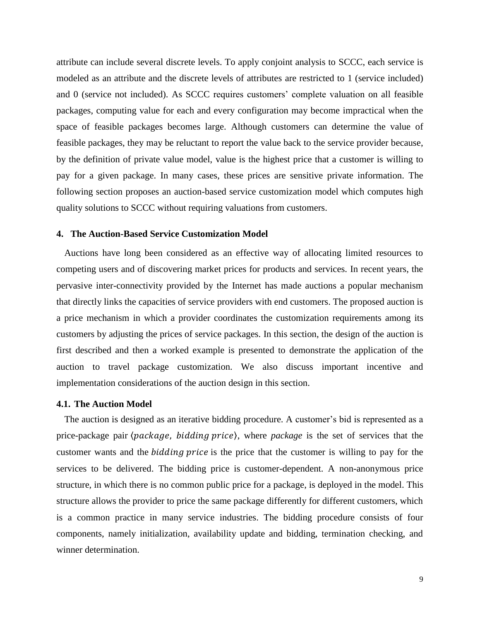attribute can include several discrete levels. To apply conjoint analysis to SCCC, each service is modeled as an attribute and the discrete levels of attributes are restricted to 1 (service included) and 0 (service not included). As SCCC requires customers' complete valuation on all feasible packages, computing value for each and every configuration may become impractical when the space of feasible packages becomes large. Although customers can determine the value of feasible packages, they may be reluctant to report the value back to the service provider because, by the definition of private value model, value is the highest price that a customer is willing to pay for a given package. In many cases, these prices are sensitive private information. The following section proposes an auction-based service customization model which computes high quality solutions to SCCC without requiring valuations from customers.

#### **4. The Auction-Based Service Customization Model**

Auctions have long been considered as an effective way of allocating limited resources to competing users and of discovering market prices for products and services. In recent years, the pervasive inter-connectivity provided by the Internet has made auctions a popular mechanism that directly links the capacities of service providers with end customers. The proposed auction is a price mechanism in which a provider coordinates the customization requirements among its customers by adjusting the prices of service packages. In this section, the design of the auction is first described and then a worked example is presented to demonstrate the application of the auction to travel package customization. We also discuss important incentive and implementation considerations of the auction design in this section.

#### **4.1. The Auction Model**

The auction is designed as an iterative bidding procedure. A customer's bid is represented as a price-package pair (package, bidding price), where package is the set of services that the customer wants and the *bidding price* is the price that the customer is willing to pay for the services to be delivered. The bidding price is customer-dependent. A non-anonymous price structure, in which there is no common public price for a package, is deployed in the model. This structure allows the provider to price the same package differently for different customers, which is a common practice in many service industries. The bidding procedure consists of four components, namely initialization, availability update and bidding, termination checking, and winner determination.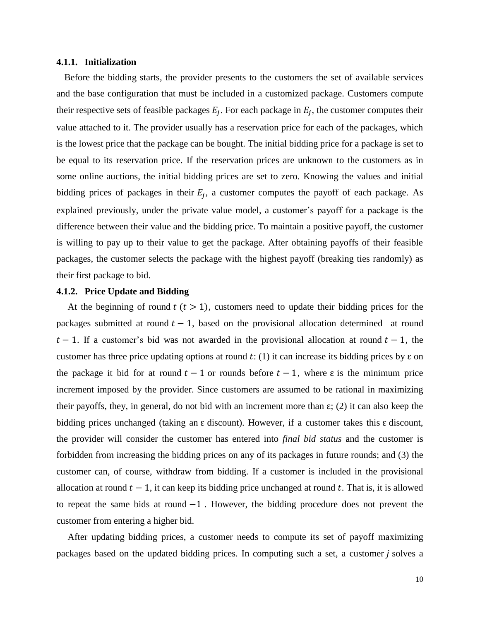## **4.1.1. Initialization**

Before the bidding starts, the provider presents to the customers the set of available services and the base configuration that must be included in a customized package. Customers compute their respective sets of feasible packages  $E_i$ . For each package in  $E_i$ , the customer computes their value attached to it. The provider usually has a reservation price for each of the packages, which is the lowest price that the package can be bought. The initial bidding price for a package is set to be equal to its reservation price. If the reservation prices are unknown to the customers as in some online auctions, the initial bidding prices are set to zero. Knowing the values and initial bidding prices of packages in their  $E_i$ , a customer computes the payoff of each package. As explained previously, under the private value model, a customer's payoff for a package is the difference between their value and the bidding price. To maintain a positive payoff, the customer is willing to pay up to their value to get the package. After obtaining payoffs of their feasible packages, the customer selects the package with the highest payoff (breaking ties randomly) as their first package to bid.

# **4.1.2. Price Update and Bidding**

At the beginning of round  $t (t > 1)$ , customers need to update their bidding prices for the packages submitted at round  $t - 1$ , based on the provisional allocation determined at round  $t-1$ . If a customer's bid was not awarded in the provisional allocation at round  $t-1$ , the customer has three price updating options at round t: (1) it can increase its bidding prices by  $\varepsilon$  on the package it bid for at round  $t - 1$  or rounds before  $t - 1$ , where  $\varepsilon$  is the minimum price increment imposed by the provider. Since customers are assumed to be rational in maximizing their payoffs, they, in general, do not bid with an increment more than  $\varepsilon$ ; (2) it can also keep the bidding prices unchanged (taking an  $\varepsilon$  discount). However, if a customer takes this  $\varepsilon$  discount, the provider will consider the customer has entered into *final bid status* and the customer is forbidden from increasing the bidding prices on any of its packages in future rounds; and (3) the customer can, of course, withdraw from bidding. If a customer is included in the provisional allocation at round  $t - 1$ , it can keep its bidding price unchanged at round t. That is, it is allowed to repeat the same bids at round  $-1$ . However, the bidding procedure does not prevent the customer from entering a higher bid.

After updating bidding prices, a customer needs to compute its set of payoff maximizing packages based on the updated bidding prices. In computing such a set, a customer  $j$  solves a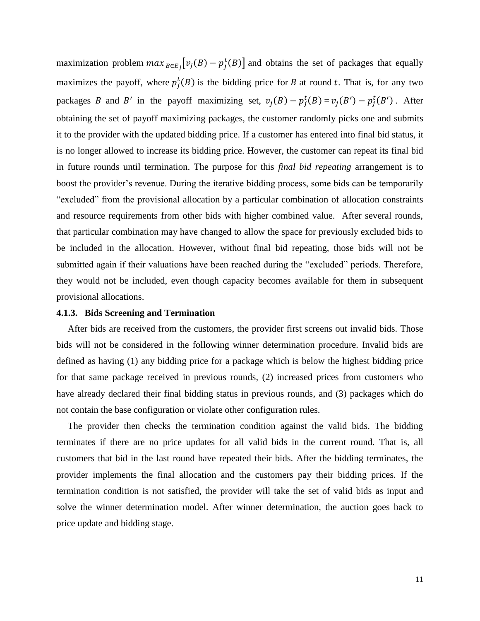maximization problem  $max_{B\in E_i}[v_i(B) - p_i^t(B)]$  and obtains the set of packages that equally maximizes the payoff, where  $p_i^t(B)$  is the bidding price for B at round t. That is, for any two packages B and B' in the payoff maximizing set,  $v_i(B) - p_i^t(B) = v_i(B') - p_i^t(B')$ . After obtaining the set of payoff maximizing packages, the customer randomly picks one and submits it to the provider with the updated bidding price. If a customer has entered into final bid status, it is no longer allowed to increase its bidding price. However, the customer can repeat its final bid in future rounds until termination. The purpose for this *final bid repeating* arrangement is to boost the provider's revenue. During the iterative bidding process, some bids can be temporarily "excluded" from the provisional allocation by a particular combination of allocation constraints and resource requirements from other bids with higher combined value. After several rounds, that particular combination may have changed to allow the space for previously excluded bids to be included in the allocation. However, without final bid repeating, those bids will not be submitted again if their valuations have been reached during the "excluded" periods. Therefore, they would not be included, even though capacity becomes available for them in subsequent provisional allocations.

#### **4.1.3. Bids Screening and Termination**

After bids are received from the customers, the provider first screens out invalid bids. Those bids will not be considered in the following winner determination procedure. Invalid bids are defined as having (1) any bidding price for a package which is below the highest bidding price for that same package received in previous rounds, (2) increased prices from customers who have already declared their final bidding status in previous rounds, and (3) packages which do not contain the base configuration or violate other configuration rules.

The provider then checks the termination condition against the valid bids. The bidding terminates if there are no price updates for all valid bids in the current round. That is, all customers that bid in the last round have repeated their bids. After the bidding terminates, the provider implements the final allocation and the customers pay their bidding prices. If the termination condition is not satisfied, the provider will take the set of valid bids as input and solve the winner determination model. After winner determination, the auction goes back to price update and bidding stage.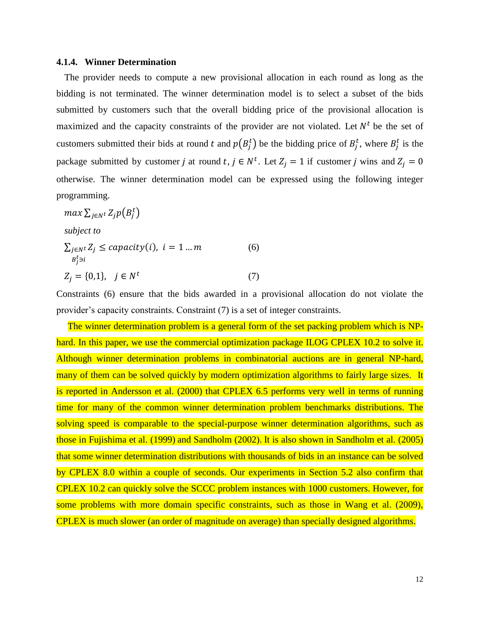#### **4.1.4. Winner Determination**

The provider needs to compute a new provisional allocation in each round as long as the bidding is not terminated. The winner determination model is to select a subset of the bids submitted by customers such that the overall bidding price of the provisional allocation is maximized and the capacity constraints of the provider are not violated. Let  $N<sup>t</sup>$  be the set of customers submitted their bids at round t and  $p(B_i^t)$  be the bidding price of  $B_i^t$ , where  $B_i^t$  is the package submitted by customer *j* at round  $t, j \in N^t$ . Let  $Z_i = 1$  if customer *j* wins and otherwise. The winner determination model can be expressed using the following integer programming.

$$
\max \sum_{j \in N^t} Z_j p(B_j^t)
$$
\n
$$
subject to
$$
\n
$$
\sum_{\substack{j \in N^t}} Z_j \leq capacity(i), \ i = 1 \dots m \tag{6}
$$
\n
$$
B_j^t = i
$$
\n
$$
Z_j = \{0, 1\}, \ j \in N^t \tag{7}
$$

Constraints (6) ensure that the bids awarded in a provisional allocation do not violate the provider's capacity constraints. Constraint (7) is a set of integer constraints.

The winner determination problem is a general form of the set packing problem which is NPhard. In this paper, we use the commercial optimization package ILOG CPLEX 10.2 to solve it. Although winner determination problems in combinatorial auctions are in general NP-hard, many of them can be solved quickly by modern optimization algorithms to fairly large sizes. It is reported in Andersson et al. (2000) that CPLEX 6.5 performs very well in terms of running time for many of the common winner determination problem benchmarks distributions. The solving speed is comparable to the special-purpose winner determination algorithms, such as those in Fujishima et al. (1999) and Sandholm (2002). It is also shown in Sandholm et al. (2005) that some winner determination distributions with thousands of bids in an instance can be solved by CPLEX 8.0 within a couple of seconds. Our experiments in Section 5.2 also confirm that CPLEX 10.2 can quickly solve the SCCC problem instances with 1000 customers. However, for some problems with more domain specific constraints, such as those in Wang et al. (2009), CPLEX is much slower (an order of magnitude on average) than specially designed algorithms.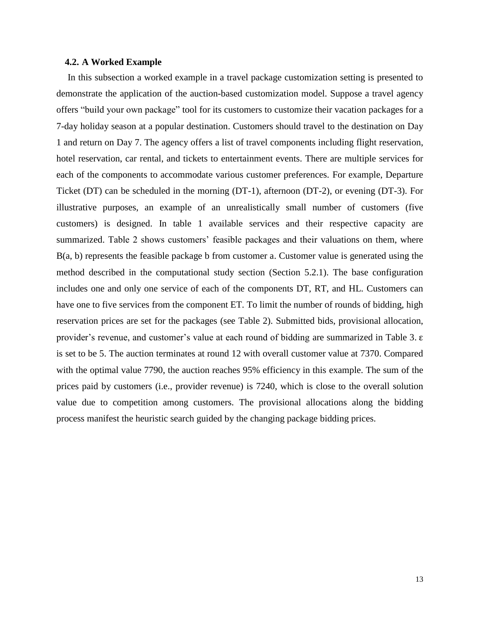#### **4.2. A Worked Example**

In this subsection a worked example in a travel package customization setting is presented to demonstrate the application of the auction-based customization model. Suppose a travel agency offers "build your own package" tool for its customers to customize their vacation packages for a 7-day holiday season at a popular destination. Customers should travel to the destination on Day 1 and return on Day 7. The agency offers a list of travel components including flight reservation, hotel reservation, car rental, and tickets to entertainment events. There are multiple services for each of the components to accommodate various customer preferences. For example, Departure Ticket (DT) can be scheduled in the morning (DT-1), afternoon (DT-2), or evening (DT-3). For illustrative purposes, an example of an unrealistically small number of customers (five customers) is designed. In table 1 available services and their respective capacity are summarized. Table 2 shows customers' feasible packages and their valuations on them, where B(a, b) represents the feasible package b from customer a. Customer value is generated using the method described in the computational study section (Section 5.2.1). The base configuration includes one and only one service of each of the components DT, RT, and HL. Customers can have one to five services from the component ET. To limit the number of rounds of bidding, high reservation prices are set for the packages (see Table 2). Submitted bids, provisional allocation, provider's revenue, and customer's value at each round of bidding are summarized in Table 3.  $\varepsilon$ is set to be 5. The auction terminates at round 12 with overall customer value at 7370. Compared with the optimal value 7790, the auction reaches 95% efficiency in this example. The sum of the prices paid by customers (i.e., provider revenue) is 7240, which is close to the overall solution value due to competition among customers. The provisional allocations along the bidding process manifest the heuristic search guided by the changing package bidding prices.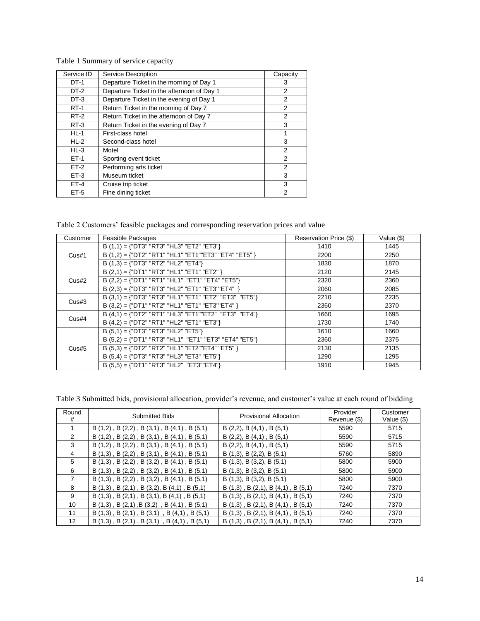|  | Table 1 Summary of service capacity |  |  |
|--|-------------------------------------|--|--|
|  |                                     |  |  |

| Service ID | Service Description                        | Capacity       |
|------------|--------------------------------------------|----------------|
| $DT-1$     | Departure Ticket in the morning of Day 1   | 3              |
| $DT-2$     | Departure Ticket in the afternoon of Day 1 | 2              |
| $DT-3$     | Departure Ticket in the evening of Day 1   | 2              |
| $RT-1$     | Return Ticket in the morning of Day 7      | $\overline{2}$ |
| $RT-2$     | Return Ticket in the afternoon of Day 7    | $\overline{2}$ |
| $RT-3$     | Return Ticket in the evening of Day 7      | 3              |
| $HL-1$     | First-class hotel                          | 1              |
| $HL-2$     | Second-class hotel                         | 3              |
| $HL-3$     | Motel                                      | $\overline{2}$ |
| $ET-1$     | Sporting event ticket                      | 2              |
| $ET-2$     | Performing arts ticket                     | $\overline{2}$ |
| $ET-3$     | Museum ticket                              | 3              |
| $ET-4$     | Cruise trip ticket                         | 3              |
| $ET-5$     | Fine dining ticket                         | $\overline{2}$ |

Table 2 Customers' feasible packages and corresponding reservation prices and value

| Customer | Feasible Packages                                                 | Reservation Price (\$) | Value $(\$)$ |
|----------|-------------------------------------------------------------------|------------------------|--------------|
|          | $B(1,1) = \{ "DT3" "RT3" "HL3" "ET2" "ET3" \}$                    | 1410                   | 1445         |
| Cus#1    | B (1,2) = {"DT2" "RT1" "HL1" "ET1""ET3" "ET4" "ET5" }             | 2200                   | 2250         |
|          | $B(1,3) = \{ "DT3" "RT2" "HL2" "ET4" \}$                          | 1830                   | 1870         |
|          | $B(2,1) = \{ "DT1" "RT3" "HL1" "ET1" "ET2" \}$                    | 2120                   | 2145         |
| Cus#2    | $B(2,2) = \{ "DT1" "RT1" "HL1" "ET1" "ET4" "ET5" \}$              | 2320                   | 2360         |
|          | B (2,3) = {"DT3" "RT3" "HL2" "ET1" "ET3""ET4" }                   | 2060                   | 2085         |
| Cus#3    | B (3,1) = {"DT3" "RT3" "HL1" "ET1" "ET2" "ET3" "ET5"}             | 2210                   | 2235         |
|          | B (3,2) = {"DT1" "RT2" "HL1" "ET1" "ET3""ET4" }                   | 2360                   | 2370         |
| Cus#4    | B (4,1) = $\overline{$ ("DT2" "RT1" "HL3" "ET1""ET2" "ET3" "ET4"} | 1660                   | 1695         |
|          | $B(4,2) = \{ "DT2" "RT1" "HL2" "ET1" "ET3" \}$                    | 1730                   | 1740         |
| Cus#5    | $B(5,1) = \{ "DT3" "RT3" "HL2" "ET5" \}$                          | 1610                   | 1660         |
|          | B (5,2) = {"DT1" "RT3" "HL1" "ET1" "ET3" "ET4" "ET5"}             | 2360                   | 2375         |
|          | $B(5,3) = \{ "DT2" "RT2" "HL1" "ET2" "ET4" "ET5" \}$              | 2130                   | 2135         |
|          | $B(5,4) =$ {"DT3" "RT3" "HL3" "ET3" "ET5"}                        | 1290                   | 1295         |
|          | $B(5,5) = \{ "DT1" "RT3" "HL2" "ET3" "ET4" \}$                    | 1910                   | 1945         |

Table 3 Submitted bids, provisional allocation, provider's revenue, and customer's value at each round of bidding

| Round<br># | <b>Submitted Bids</b>                                | <b>Provisional Allocation</b>                | Provider<br>Revenue (\$) | Customer<br>Value (\$) |
|------------|------------------------------------------------------|----------------------------------------------|--------------------------|------------------------|
|            | $B(1,2)$ , $B(2,2)$ , $B(3,1)$ , $B(4,1)$ , $B(5,1)$ | B(2,2), B(4,1), B(5,1)                       | 5590                     | 5715                   |
| 2          | $B(1,2)$ , $B(2,2)$ , $B(3,1)$ , $B(4,1)$ , $B(5,1)$ | B(2,2), B(4,1), B(5,1)                       | 5590                     | 5715                   |
| 3          | $B(1,2)$ , $B(2,2)$ , $B(3,1)$ , $B(4,1)$ , $B(5,1)$ | B(2,2), B(4,1), B(5,1)                       | 5590                     | 5715                   |
| 4          | $B(1,3)$ , $B(2,2)$ , $B(3,1)$ , $B(4,1)$ , $B(5,1)$ | B(1,3), B(2,2), B(5,1)                       | 5760                     | 5890                   |
| 5          | $B(1,3)$ , $B(2,2)$ , $B(3,2)$ , $B(4,1)$ , $B(5,1)$ | B(1,3), B(3,2), B(5,1)                       | 5800                     | 5900                   |
| 6          | $B(1,3)$ , $B(2,2)$ , $B(3,2)$ , $B(4,1)$ , $B(5,1)$ | B(1,3), B(3,2), B(5,1)                       | 5800                     | 5900                   |
| 7          | $B(1,3)$ , $B(2,2)$ , $B(3,2)$ , $B(4,1)$ , $B(5,1)$ | B(1,3), B(3,2), B(5,1)                       | 5800                     | 5900                   |
| 8          | $B(1,3)$ , $B(2,1)$ , $B(3,2)$ , $B(4,1)$ , $B(5,1)$ | $B(1,3)$ , $B(2,1)$ , $B(4,1)$ , $B(5,1)$    | 7240                     | 7370                   |
| 9          | $B(1,3)$ , $B(2,1)$ , $B(3,1)$ , $B(4,1)$ , $B(5,1)$ | $B(1,3)$ , B $(2,1)$ , B $(4,1)$ , B $(5,1)$ | 7240                     | 7370                   |
| 10         | B (1,3), B (2,1), B (3,2), B (4,1), B (5,1)          | $B(1,3)$ , $B(2,1)$ , $B(4,1)$ , $B(5,1)$    | 7240                     | 7370                   |
| 11         | $B(1,3)$ , $B(2,1)$ , $B(3,1)$ , $B(4,1)$ , $B(5,1)$ | $B(1,3)$ , $B(2,1)$ , $B(4,1)$ , $B(5,1)$    | 7240                     | 7370                   |
| 12         | $B(1,3)$ , $B(2,1)$ , $B(3,1)$ , $B(4,1)$ , $B(5,1)$ | $B(1,3)$ , $B(2,1)$ , $B(4,1)$ , $B(5,1)$    | 7240                     | 7370                   |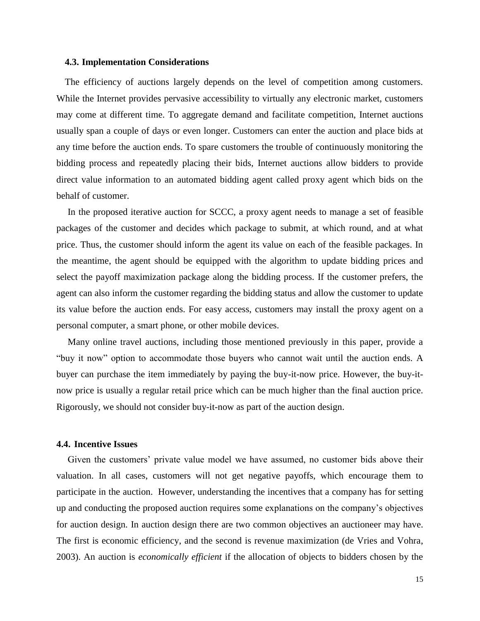# **4.3. Implementation Considerations**

The efficiency of auctions largely depends on the level of competition among customers. While the Internet provides pervasive accessibility to virtually any electronic market, customers may come at different time. To aggregate demand and facilitate competition, Internet auctions usually span a couple of days or even longer. Customers can enter the auction and place bids at any time before the auction ends. To spare customers the trouble of continuously monitoring the bidding process and repeatedly placing their bids, Internet auctions allow bidders to provide direct value information to an automated bidding agent called proxy agent which bids on the behalf of customer.

In the proposed iterative auction for SCCC, a proxy agent needs to manage a set of feasible packages of the customer and decides which package to submit, at which round, and at what price. Thus, the customer should inform the agent its value on each of the feasible packages. In the meantime, the agent should be equipped with the algorithm to update bidding prices and select the payoff maximization package along the bidding process. If the customer prefers, the agent can also inform the customer regarding the bidding status and allow the customer to update its value before the auction ends. For easy access, customers may install the proxy agent on a personal computer, a smart phone, or other mobile devices.

Many online travel auctions, including those mentioned previously in this paper, provide a "buy it now" option to accommodate those buyers who cannot wait until the auction ends. A buyer can purchase the item immediately by paying the buy-it-now price. However, the buy-itnow price is usually a regular retail price which can be much higher than the final auction price. Rigorously, we should not consider buy-it-now as part of the auction design.

## **4.4. Incentive Issues**

Given the customers' private value model we have assumed, no customer bids above their valuation. In all cases, customers will not get negative payoffs, which encourage them to participate in the auction. However, understanding the incentives that a company has for setting up and conducting the proposed auction requires some explanations on the company's objectives for auction design. In auction design there are two common objectives an auctioneer may have. The first is economic efficiency, and the second is revenue maximization (de Vries and Vohra, 2003). An auction is *economically efficient* if the allocation of objects to bidders chosen by the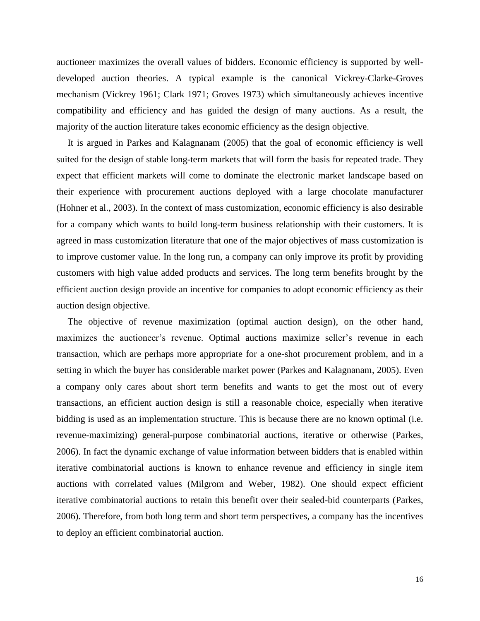auctioneer maximizes the overall values of bidders. Economic efficiency is supported by welldeveloped auction theories. A typical example is the canonical Vickrey-Clarke-Groves mechanism (Vickrey 1961; Clark 1971; Groves 1973) which simultaneously achieves incentive compatibility and efficiency and has guided the design of many auctions. As a result, the majority of the auction literature takes economic efficiency as the design objective.

It is argued in Parkes and Kalagnanam (2005) that the goal of economic efficiency is well suited for the design of stable long-term markets that will form the basis for repeated trade. They expect that efficient markets will come to dominate the electronic market landscape based on their experience with procurement auctions deployed with a large chocolate manufacturer (Hohner et al., 2003). In the context of mass customization, economic efficiency is also desirable for a company which wants to build long-term business relationship with their customers. It is agreed in mass customization literature that one of the major objectives of mass customization is to improve customer value. In the long run, a company can only improve its profit by providing customers with high value added products and services. The long term benefits brought by the efficient auction design provide an incentive for companies to adopt economic efficiency as their auction design objective.

The objective of revenue maximization (optimal auction design), on the other hand, maximizes the auctioneer's revenue. Optimal auctions maximize seller's revenue in each transaction, which are perhaps more appropriate for a one-shot procurement problem, and in a setting in which the buyer has considerable market power (Parkes and Kalagnanam, 2005). Even a company only cares about short term benefits and wants to get the most out of every transactions, an efficient auction design is still a reasonable choice, especially when iterative bidding is used as an implementation structure. This is because there are no known optimal (i.e. revenue-maximizing) general-purpose combinatorial auctions, iterative or otherwise (Parkes, 2006). In fact the dynamic exchange of value information between bidders that is enabled within iterative combinatorial auctions is known to enhance revenue and efficiency in single item auctions with correlated values (Milgrom and Weber, 1982). One should expect efficient iterative combinatorial auctions to retain this benefit over their sealed-bid counterparts (Parkes, 2006). Therefore, from both long term and short term perspectives, a company has the incentives to deploy an efficient combinatorial auction.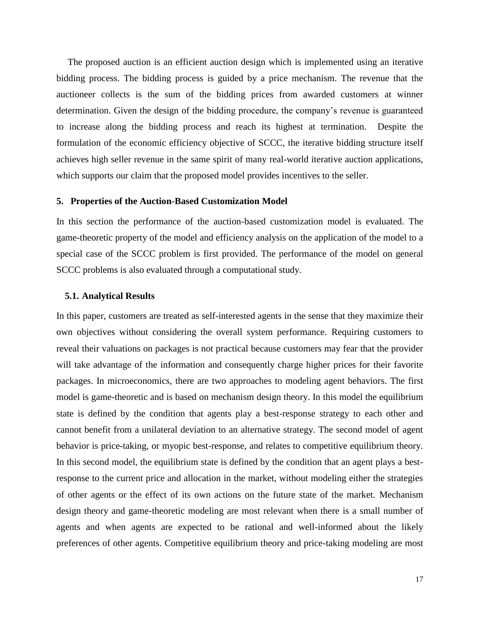The proposed auction is an efficient auction design which is implemented using an iterative bidding process. The bidding process is guided by a price mechanism. The revenue that the auctioneer collects is the sum of the bidding prices from awarded customers at winner determination. Given the design of the bidding procedure, the company's revenue is guaranteed to increase along the bidding process and reach its highest at termination. Despite the formulation of the economic efficiency objective of SCCC, the iterative bidding structure itself achieves high seller revenue in the same spirit of many real-world iterative auction applications, which supports our claim that the proposed model provides incentives to the seller.

## **5. Properties of the Auction-Based Customization Model**

In this section the performance of the auction-based customization model is evaluated. The game-theoretic property of the model and efficiency analysis on the application of the model to a special case of the SCCC problem is first provided. The performance of the model on general SCCC problems is also evaluated through a computational study.

#### **5.1. Analytical Results**

In this paper, customers are treated as self-interested agents in the sense that they maximize their own objectives without considering the overall system performance. Requiring customers to reveal their valuations on packages is not practical because customers may fear that the provider will take advantage of the information and consequently charge higher prices for their favorite packages. In microeconomics, there are two approaches to modeling agent behaviors. The first model is game-theoretic and is based on mechanism design theory. In this model the equilibrium state is defined by the condition that agents play a best-response strategy to each other and cannot benefit from a unilateral deviation to an alternative strategy. The second model of agent behavior is price-taking, or myopic best-response, and relates to competitive equilibrium theory. In this second model, the equilibrium state is defined by the condition that an agent plays a bestresponse to the current price and allocation in the market, without modeling either the strategies of other agents or the effect of its own actions on the future state of the market. Mechanism design theory and game-theoretic modeling are most relevant when there is a small number of agents and when agents are expected to be rational and well-informed about the likely preferences of other agents. Competitive equilibrium theory and price-taking modeling are most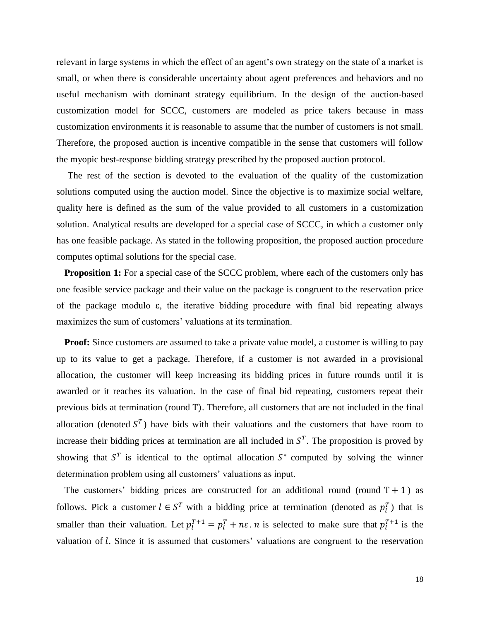relevant in large systems in which the effect of an agent's own strategy on the state of a market is small, or when there is considerable uncertainty about agent preferences and behaviors and no useful mechanism with dominant strategy equilibrium. In the design of the auction-based customization model for SCCC, customers are modeled as price takers because in mass customization environments it is reasonable to assume that the number of customers is not small. Therefore, the proposed auction is incentive compatible in the sense that customers will follow the myopic best-response bidding strategy prescribed by the proposed auction protocol.

The rest of the section is devoted to the evaluation of the quality of the customization solutions computed using the auction model. Since the objective is to maximize social welfare, quality here is defined as the sum of the value provided to all customers in a customization solution. Analytical results are developed for a special case of SCCC, in which a customer only has one feasible package. As stated in the following proposition, the proposed auction procedure computes optimal solutions for the special case.

**Proposition 1:** For a special case of the SCCC problem, where each of the customers only has one feasible service package and their value on the package is congruent to the reservation price of the package modulo ε, the iterative bidding procedure with final bid repeating always maximizes the sum of customers' valuations at its termination.

**Proof:** Since customers are assumed to take a private value model, a customer is willing to pay up to its value to get a package. Therefore, if a customer is not awarded in a provisional allocation, the customer will keep increasing its bidding prices in future rounds until it is awarded or it reaches its valuation. In the case of final bid repeating, customers repeat their previous bids at termination (round T). Therefore, all customers that are not included in the final allocation (denoted  $S<sup>T</sup>$ ) have bids with their valuations and the customers that have room to increase their bidding prices at termination are all included in  $S<sup>T</sup>$ . The proposition is proved by showing that  $S<sup>T</sup>$  is identical to the optimal allocation  $S<sup>*</sup>$  computed by solving the winner determination problem using all customers' valuations as input.

The customers' bidding prices are constructed for an additional round (round  $T + 1$ ) as follows. Pick a customer  $l \in S^T$  with a bidding price at termination (denoted as  $p_l^T$ ) that is smaller than their valuation. Let  $p_l^{T+1} = p_l^T + n\varepsilon$ . *n* is selected to make sure that  $p_l^{T+1}$  is the valuation of  $l$ . Since it is assumed that customers' valuations are congruent to the reservation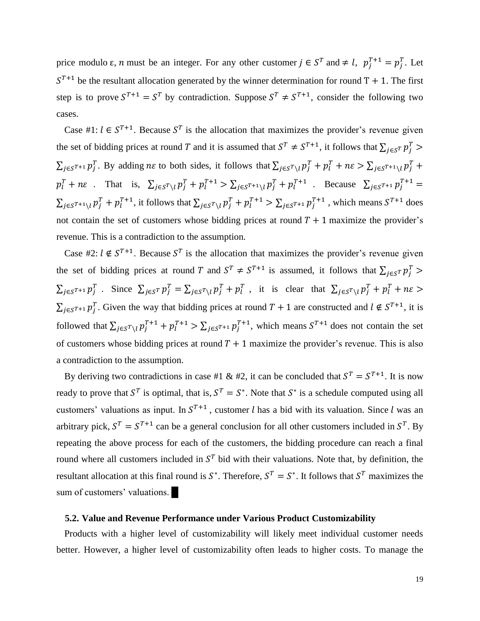price modulo  $\varepsilon$ , *n* must be an integer. For any other customer  $j \in S^T$  and  $\neq l$ ,  $p_i^{T+1} = p_i^T$ . Let  $S^{T+1}$  be the resultant allocation generated by the winner determination for round T + 1. The first step is to prove  $S^{T+1} = S^T$  by contradiction. Suppose  $S^T \neq S^{T+1}$ , consider the following two cases.

Case #1:  $l \in S^{T+1}$ . Because  $S^T$  is the allocation that maximizes the provider's revenue given the set of bidding prices at round T and it is assumed that  $S^T \neq S^{T+1}$ , it follows that  $\sum_{j \in S^T} p_j^T$  $\sum_{j \in S^{T+1}} p_j^T$ . By adding ne to both sides, it follows that  $\sum_{j \in S^T \setminus l} p_j^T + p_l^T + n\varepsilon > \sum_{j \in S^{T+1} \setminus l} p_j^T$  $p_l^T + n\varepsilon$  . That is,  $\sum_{j \in S} \sum_{i} p_j^T + p_l^{T+1} > \sum_{j \in S} \sum_{i} p_j^T + p_l^{T+1}$  Because  $\sum_{j \in S} \sum_{i} p_j^T$  $\sum_{j \in S^{T+1} \setminus l} p_j^T + p_l^{T+1}$ , it follows that  $\sum_{j \in S^T \setminus l} p_j^T + p_l^{T+1} > \sum_{j \in S^{T+1}} p_j^{T+1}$ , which means  $S^{T+1}$  does not contain the set of customers whose bidding prices at round  $T + 1$  maximize the provider's revenue. This is a contradiction to the assumption.

Case #2:  $l \notin S^{T+1}$ . Because  $S^T$  is the allocation that maximizes the provider's revenue given the set of bidding prices at round T and  $S^T \neq S^{T+1}$  is assumed, it follows that  $\sum_{j \in S} p_j^T$  $\sum_{j \in S^{T+1}} p_j^T$ . Since  $\sum_{j \in S^T} p_j^T = \sum_{j \in S^T \setminus l} p_j^T + p_l^T$ , it is clear that  $\sum_{j \in S^T \setminus l} p_j^T + p_l^T$  $\sum_{j \in S^{T+1}} p_j^T$ . Given the way that bidding prices at round  $T+1$  are constructed and  $l \notin S^{T+1}$ , it is followed that  $\sum_{j \in S} T_{\setminus l} p_j^{T+1} + p_l^{T+1} > \sum_{j \in S} T_{\setminus l} p_j^{T+1}$ , which means  $S^{T+1}$  does not contain the set of customers whose bidding prices at round  $T + 1$  maximize the provider's revenue. This is also a contradiction to the assumption.

By deriving two contradictions in case #1 & #2, it can be concluded that  $S<sup>T</sup> = S<sup>T+1</sup>$ . It is now ready to prove that  $S^T$  is optimal, that is,  $S^T = S^*$ . Note that  $S^*$  is a schedule computed using all customers' valuations as input. In  $S^{T+1}$ , customer l has a bid with its valuation. Since l was an arbitrary pick,  $S^T = S^{T+1}$  can be a general conclusion for all other customers included in  $S^T$ . By repeating the above process for each of the customers, the bidding procedure can reach a final round where all customers included in  $S<sup>T</sup>$  bid with their valuations. Note that, by definition, the resultant allocation at this final round is  $S^*$ . Therefore,  $S^T = S^*$ . It follows that  $S^T$  maximizes the sum of customers' valuations.

#### **5.2. Value and Revenue Performance under Various Product Customizability**

Products with a higher level of customizability will likely meet individual customer needs better. However, a higher level of customizability often leads to higher costs. To manage the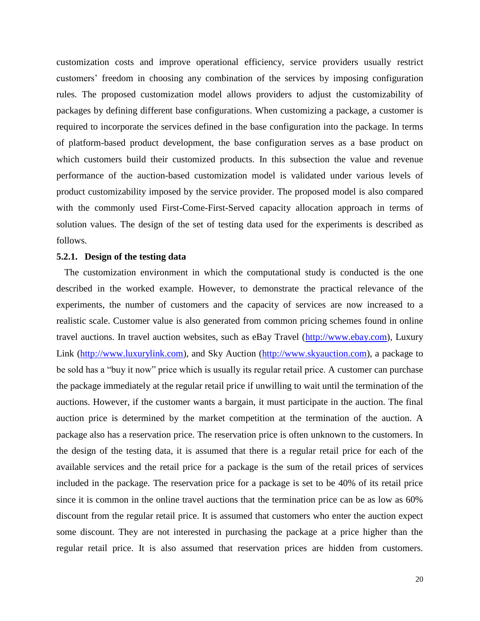customization costs and improve operational efficiency, service providers usually restrict customers' freedom in choosing any combination of the services by imposing configuration rules. The proposed customization model allows providers to adjust the customizability of packages by defining different base configurations. When customizing a package, a customer is required to incorporate the services defined in the base configuration into the package. In terms of platform-based product development, the base configuration serves as a base product on which customers build their customized products. In this subsection the value and revenue performance of the auction-based customization model is validated under various levels of product customizability imposed by the service provider. The proposed model is also compared with the commonly used First-Come-First-Served capacity allocation approach in terms of solution values. The design of the set of testing data used for the experiments is described as follows.

# **5.2.1. Design of the testing data**

The customization environment in which the computational study is conducted is the one described in the worked example. However, to demonstrate the practical relevance of the experiments, the number of customers and the capacity of services are now increased to a realistic scale. Customer value is also generated from common pricing schemes found in online travel auctions. In travel auction websites, such as eBay Travel [\(http://www.ebay.com\)](http://www.ebay.com/), Luxury Link [\(http://www.luxurylink.com\)](http://www.luxurylink.com/), and Sky Auction [\(http://www.skyauction.com\)](http://www.skyauction.com/), a package to be sold has a "buy it now" price which is usually its regular retail price. A customer can purchase the package immediately at the regular retail price if unwilling to wait until the termination of the auctions. However, if the customer wants a bargain, it must participate in the auction. The final auction price is determined by the market competition at the termination of the auction. A package also has a reservation price. The reservation price is often unknown to the customers. In the design of the testing data, it is assumed that there is a regular retail price for each of the available services and the retail price for a package is the sum of the retail prices of services included in the package. The reservation price for a package is set to be 40% of its retail price since it is common in the online travel auctions that the termination price can be as low as 60% discount from the regular retail price. It is assumed that customers who enter the auction expect some discount. They are not interested in purchasing the package at a price higher than the regular retail price. It is also assumed that reservation prices are hidden from customers.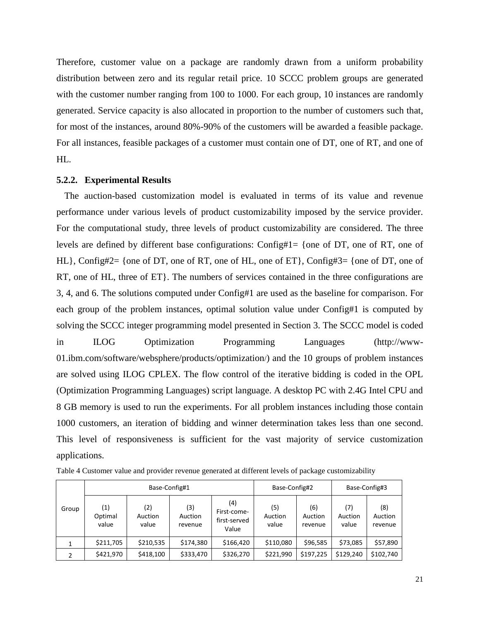Therefore, customer value on a package are randomly drawn from a uniform probability distribution between zero and its regular retail price. 10 SCCC problem groups are generated with the customer number ranging from 100 to 1000. For each group, 10 instances are randomly generated. Service capacity is also allocated in proportion to the number of customers such that, for most of the instances, around 80%-90% of the customers will be awarded a feasible package. For all instances, feasible packages of a customer must contain one of DT, one of RT, and one of HL.

# **5.2.2. Experimental Results**

The auction-based customization model is evaluated in terms of its value and revenue performance under various levels of product customizability imposed by the service provider. For the computational study, three levels of product customizability are considered. The three levels are defined by different base configurations: Config#1= {one of DT, one of RT, one of HL}, Config#2= {one of DT, one of RT, one of HL, one of ET}, Config#3= {one of DT, one of RT, one of HL, three of ET}. The numbers of services contained in the three configurations are 3, 4, and 6. The solutions computed under Config#1 are used as the baseline for comparison. For each group of the problem instances, optimal solution value under Config#1 is computed by solving the SCCC integer programming model presented in Section 3. The SCCC model is coded in ILOG Optimization Programming Languages (http://www-01.ibm.com/software/websphere/products/optimization/) and the 10 groups of problem instances are solved using ILOG CPLEX. The flow control of the iterative bidding is coded in the OPL (Optimization Programming Languages) script language. A desktop PC with 2.4G Intel CPU and 8 GB memory is used to run the experiments. For all problem instances including those contain 1000 customers, an iteration of bidding and winner determination takes less than one second. This level of responsiveness is sufficient for the vast majority of service customization applications.

| Group | Base-Config#1           |                         |                           |                                             | Base-Config#2           |                           | Base-Config#3           |                           |
|-------|-------------------------|-------------------------|---------------------------|---------------------------------------------|-------------------------|---------------------------|-------------------------|---------------------------|
|       | (1)<br>Optimal<br>value | (2)<br>Auction<br>value | (3)<br>Auction<br>revenue | (4)<br>First-come-<br>first-served<br>Value | (5)<br>Auction<br>value | (6)<br>Auction<br>revenue | (7)<br>Auction<br>value | (8)<br>Auction<br>revenue |
|       | \$211,705               | \$210,535               | \$174,380                 | \$166,420                                   | \$110,080               | \$96,585                  | \$73,085                | \$57,890                  |
|       | \$421,970               | \$418,100               | \$333,470                 | \$326,270                                   | \$221,990               | \$197,225                 | \$129,240               | \$102,740                 |

Table 4 Customer value and provider revenue generated at different levels of package customizability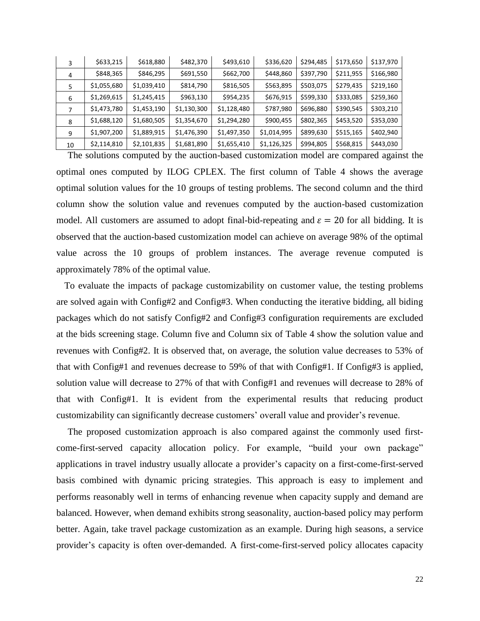| 3  | \$633,215   | \$618,880   | \$482,370   | \$493,610   | \$336,620   | \$294,485 | \$173,650 | \$137,970 |
|----|-------------|-------------|-------------|-------------|-------------|-----------|-----------|-----------|
| 4  | \$848,365   | \$846,295   | \$691,550   | \$662,700   | \$448,860   | \$397,790 | \$211,955 | \$166,980 |
|    | \$1,055,680 | \$1,039,410 | \$814,790   | \$816,505   | \$563,895   | \$503,075 | \$279,435 | \$219,160 |
| 6  | \$1,269,615 | \$1,245,415 | \$963,130   | \$954,235   | \$676,915   | \$599,330 | \$333,085 | \$259,360 |
|    | \$1,473,780 | \$1,453,190 | \$1,130,300 | \$1,128,480 | \$787,980   | \$696,880 | \$390,545 | \$303,210 |
| 8  | \$1,688,120 | \$1,680,505 | \$1,354,670 | \$1,294,280 | \$900,455   | \$802,365 | \$453,520 | \$353,030 |
| 9  | \$1,907,200 | \$1,889,915 | \$1,476,390 | \$1,497,350 | \$1,014,995 | \$899,630 | \$515,165 | \$402,940 |
| 10 | \$2,114,810 | \$2,101,835 | \$1,681,890 | \$1,655,410 | \$1,126,325 | \$994,805 | \$568,815 | \$443,030 |

The solutions computed by the auction-based customization model are compared against the optimal ones computed by ILOG CPLEX. The first column of Table 4 shows the average optimal solution values for the 10 groups of testing problems. The second column and the third column show the solution value and revenues computed by the auction-based customization model. All customers are assumed to adopt final-bid-repeating and  $\varepsilon = 20$  for all bidding. It is observed that the auction-based customization model can achieve on average 98% of the optimal value across the 10 groups of problem instances. The average revenue computed is approximately 78% of the optimal value.

To evaluate the impacts of package customizability on customer value, the testing problems are solved again with Config#2 and Config#3. When conducting the iterative bidding, all biding packages which do not satisfy Config#2 and Config#3 configuration requirements are excluded at the bids screening stage. Column five and Column six of Table 4 show the solution value and revenues with Config#2. It is observed that, on average, the solution value decreases to 53% of that with Config#1 and revenues decrease to 59% of that with Config#1. If Config#3 is applied, solution value will decrease to 27% of that with Config#1 and revenues will decrease to 28% of that with Config#1. It is evident from the experimental results that reducing product customizability can significantly decrease customers' overall value and provider's revenue.

The proposed customization approach is also compared against the commonly used firstcome-first-served capacity allocation policy. For example, "build your own package" applications in travel industry usually allocate a provider's capacity on a first-come-first-served basis combined with dynamic pricing strategies. This approach is easy to implement and performs reasonably well in terms of enhancing revenue when capacity supply and demand are balanced. However, when demand exhibits strong seasonality, auction-based policy may perform better. Again, take travel package customization as an example. During high seasons, a service provider's capacity is often over-demanded. A first-come-first-served policy allocates capacity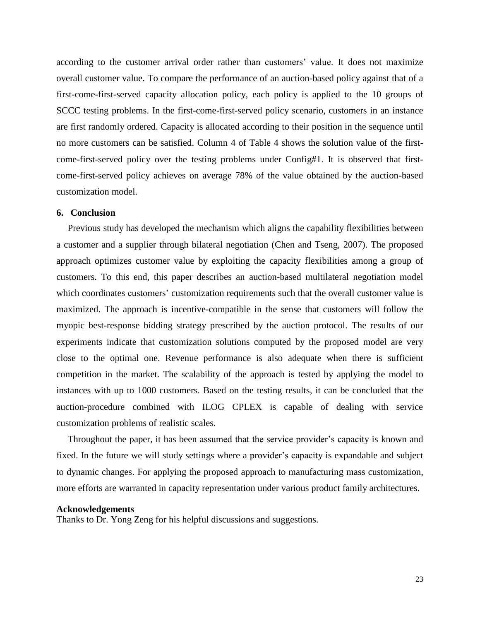according to the customer arrival order rather than customers' value. It does not maximize overall customer value. To compare the performance of an auction-based policy against that of a first-come-first-served capacity allocation policy, each policy is applied to the 10 groups of SCCC testing problems. In the first-come-first-served policy scenario, customers in an instance are first randomly ordered. Capacity is allocated according to their position in the sequence until no more customers can be satisfied. Column 4 of Table 4 shows the solution value of the firstcome-first-served policy over the testing problems under Config#1. It is observed that firstcome-first-served policy achieves on average 78% of the value obtained by the auction-based customization model.

#### **6. Conclusion**

Previous study has developed the mechanism which aligns the capability flexibilities between a customer and a supplier through bilateral negotiation (Chen and Tseng, 2007). The proposed approach optimizes customer value by exploiting the capacity flexibilities among a group of customers. To this end, this paper describes an auction-based multilateral negotiation model which coordinates customers' customization requirements such that the overall customer value is maximized. The approach is incentive-compatible in the sense that customers will follow the myopic best-response bidding strategy prescribed by the auction protocol. The results of our experiments indicate that customization solutions computed by the proposed model are very close to the optimal one. Revenue performance is also adequate when there is sufficient competition in the market. The scalability of the approach is tested by applying the model to instances with up to 1000 customers. Based on the testing results, it can be concluded that the auction-procedure combined with ILOG CPLEX is capable of dealing with service customization problems of realistic scales.

Throughout the paper, it has been assumed that the service provider's capacity is known and fixed. In the future we will study settings where a provider's capacity is expandable and subject to dynamic changes. For applying the proposed approach to manufacturing mass customization, more efforts are warranted in capacity representation under various product family architectures.

#### **Acknowledgements**

Thanks to Dr. Yong Zeng for his helpful discussions and suggestions.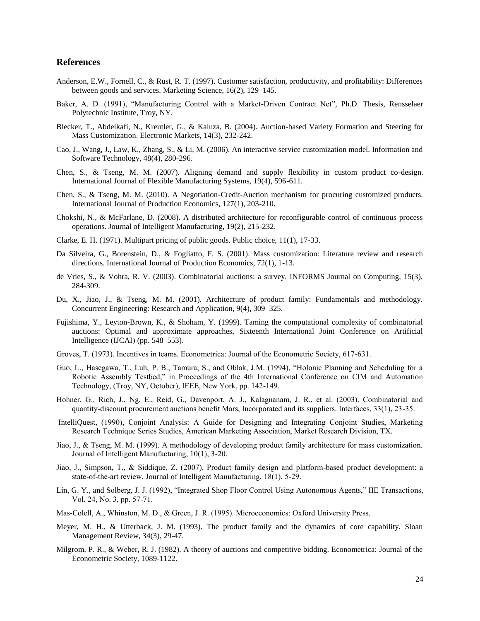#### **References**

- Anderson, E.W., Fornell, C., & Rust, R. T. (1997). Customer satisfaction, productivity, and profitability: Differences between goods and services. Marketing Science, 16(2), 129–145.
- Baker, A. D. (1991), "Manufacturing Control with a Market-Driven Contract Net", Ph.D. Thesis, Rensselaer Polytechnic Institute, Troy, NY.
- Blecker, T., Abdelkafi, N., Kreutler, G., & Kaluza, B. (2004). Auction-based Variety Formation and Steering for Mass Customization. Electronic Markets, 14(3), 232-242.
- Cao, J., Wang, J., Law, K., Zhang, S., & Li, M. (2006). An interactive service customization model. Information and Software Technology, 48(4), 280-296.
- Chen, S., & Tseng, M. M. (2007). Aligning demand and supply flexibility in custom product co-design. International Journal of Flexible Manufacturing Systems, 19(4), 596-611.
- Chen, S., & Tseng, M. M. (2010). A Negotiation-Credit-Auction mechanism for procuring customized products. International Journal of Production Economics, 127(1), 203-210.
- Chokshi, N., & McFarlane, D. (2008). A distributed architecture for reconfigurable control of continuous process operations. Journal of Intelligent Manufacturing, 19(2), 215-232.
- Clarke, E. H. (1971). Multipart pricing of public goods. Public choice, 11(1), 17-33.
- Da Silveira, G., Borenstein, D., & Fogliatto, F. S. (2001). Mass customization: Literature review and research directions. International Journal of Production Economics, 72(1), 1-13.
- de Vries, S., & Vohra, R. V. (2003). Combinatorial auctions: a survey. INFORMS Journal on Computing, 15(3), 284-309.
- Du, X., Jiao, J., & Tseng, M. M. (2001). Architecture of product family: Fundamentals and methodology. Concurrent Engineering: Research and Application, 9(4), 309–325.
- Fujishima, Y., Leyton-Brown, K., & Shoham, Y. (1999). Taming the computational complexity of combinatorial auctions: Optimal and approximate approaches, Sixteenth International Joint Conference on Artificial Intelligence (IJCAI) (pp. 548–553).
- Groves, T. (1973). Incentives in teams. Econometrica: Journal of the Econometric Society, 617-631.
- Guo, L., Hasegawa, T., Luh, P. B., Tamura, S., and Oblak, J.M. (1994), "Holonic Planning and Scheduling for a Robotic Assembly Testbed," in Proceedings of the 4th International Conference on CIM and Automation Technology, (Troy, NY, October), IEEE, New York, pp. 142-149.
- Hohner, G., Rich, J., Ng, E., Reid, G., Davenport, A. J., Kalagnanam, J. R., et al. (2003). Combinatorial and quantity-discount procurement auctions benefit Mars, Incorporated and its suppliers. Interfaces, 33(1), 23-35.
- IntelliQuest, (1990), Conjoint Analysis: A Guide for Designing and Integrating Conjoint Studies, Marketing Research Technique Series Studies, American Marketing Association, Market Research Division, TX.
- Jiao, J., & Tseng, M. M. (1999). A methodology of developing product family architecture for mass customization. Journal of Intelligent Manufacturing, 10(1), 3-20.
- Jiao, J., Simpson, T., & Siddique, Z. (2007). Product family design and platform-based product development: a state-of-the-art review. Journal of Intelligent Manufacturing, 18(1), 5-29.
- Lin, G. Y., and Solberg, J. J. (1992), "Integrated Shop Floor Control Using Autonomous Agents," IIE Transactions, Vol. 24, No. 3, pp. 57-71.
- Mas-Colell, A., Whinston, M. D., & Green, J. R. (1995). Microeconomics: Oxford University Press.
- Meyer, M. H., & Utterback, J. M. (1993). The product family and the dynamics of core capability. Sloan Management Review, 34(3), 29-47.
- Milgrom, P. R., & Weber, R. J. (1982). A theory of auctions and competitive bidding. Econometrica: Journal of the Econometric Society, 1089-1122.